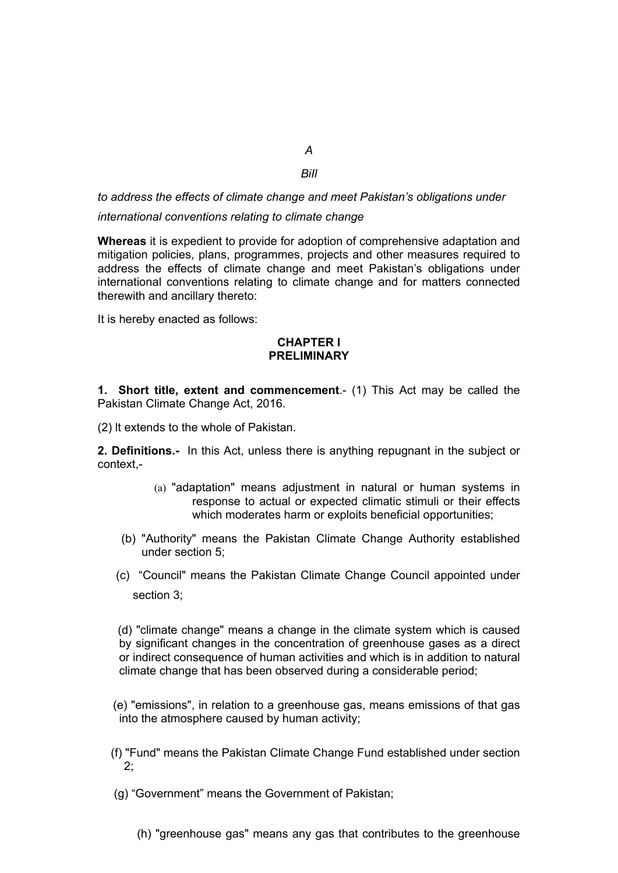# *BiIl*

*A*

*to address the effects of climate change and meet Pakistan's obligations under*

*international conventions relating to climate change*

**Whereas** it is expedient to provide for adoption of comprehensive adaptation and mitigation policies, plans, programmes, projects and other measures required to address the effects of climate change and meet Pakistan's obligations under international conventions relating to climate change and for matters connected therewith and ancillary thereto:

It is hereby enacted as follows:

# **CHAPTER I PRELIMINARY**

**1. Short title, extent and commencement**.- (1) This Act may be called the Pakistan Climate Change Act, 2016.

(2) lt extends to the whole of Pakistan.

**2. Definitions.-** In this Act, unless there is anything repugnant in the subject or context,-

- (a) "adaptation" means adjustment in natural or human systems in response to actual or expected climatic stimuli or their effects which moderates harm or exploits beneficial opportunities;
- (b) "Authority" means the Pakistan Climate Change Authority established under section 5;
- (c) "Council" means the Pakistan Climate Change Council appointed under section 3;

 (d) "climate change" means a change in the climate system which is caused by significant changes in the concentration of greenhouse gases as a direct or indirect consequence of human activities and which is in addition to natural climate change that has been observed during a considerable period;

 (e) "emissions", in relation to a greenhouse gas, means emissions of that gas into the atmosphere caused by human activity;

- (f) "Fund" means the Pakistan Climate Change Fund established under section 2;
- (g) "Government" means the Government of Pakistan;
	- (h) "greenhouse gas" means any gas that contributes to the greenhouse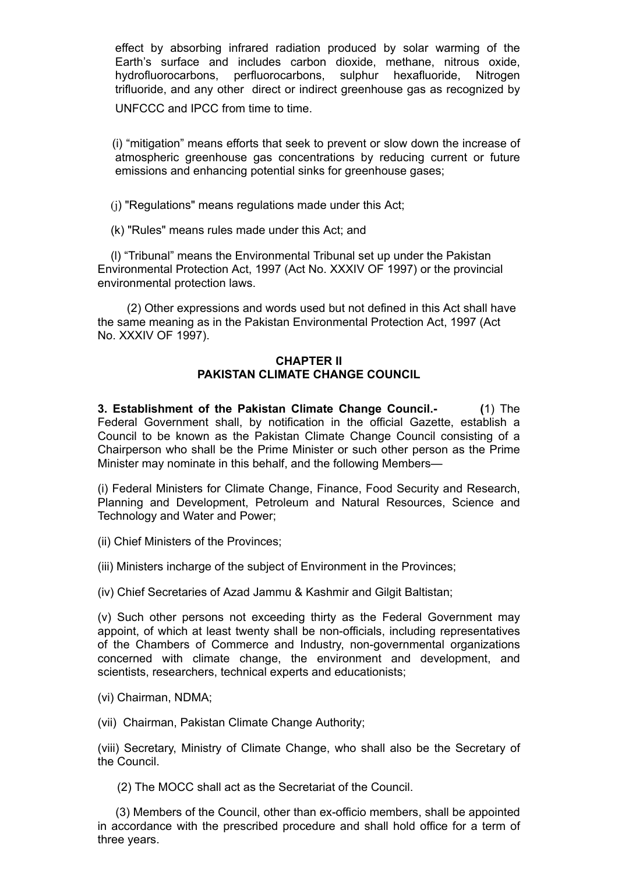effect by absorbing infrared radiation produced by solar warming of the Earth's surface and includes carbon dioxide, methane, nitrous oxide, hydrofluorocarbons, perfluorocarbons, sulphur hexafluoride, Nitrogen trifluoride, and any other direct or indirect greenhouse gas as recognized by

UNFCCC and IPCC from time to time.

 (i) "mitigation" means efforts that seek to prevent or slow down the increase of atmospheric greenhouse gas concentrations by reducing current or future emissions and enhancing potential sinks for greenhouse gases;

(j) "Regulations" means regulations made under this Act;

(k) "Rules" means rules made under this Act; and

 (l) "Tribunal" means the Environmental Tribunal set up under the Pakistan Environmental Protection Act, 1997 (Act No. XXXIV OF 1997) or the provincial environmental protection laws.

 (2) Other expressions and words used but not defined in this Act shall have the same meaning as in the Pakistan Environmental Protection Act, 1997 (Act No. XXXIV OF 1997).

## **CHAPTER II PAKISTAN CLIMATE CHANGE COUNCIL**

**3. Establishment of the Pakistan Climate Change Council.- (**1) The Federal Government shall, by notification in the official Gazette, establish a Council to be known as the Pakistan Climate Change Council consisting of a Chairperson who shall be the Prime Minister or such other person as the Prime Minister may nominate in this behalf, and the following Members—

(i) Federal Ministers for Climate Change, Finance, Food Security and Research, Planning and Development, Petroleum and Natural Resources, Science and Technology and Water and Power;

(ii) Chief Ministers of the Provinces;

(iii) Ministers incharge of the subject of Environment in the Provinces;

(iv) Chief Secretaries of Azad Jammu & Kashmir and Gilgit Baltistan;

(v) Such other persons not exceeding thirty as the Federal Government may appoint, of which at least twenty shall be non-officials, including representatives of the Chambers of Commerce and Industry, non-governmental organizations concerned with climate change, the environment and development, and scientists, researchers, technical experts and educationists;

- (vi) Chairman, NDMA;
- (vii) Chairman, Pakistan Climate Change Authority;

(viii) Secretary, Ministry of Climate Change, who shall also be the Secretary of the Council.

(2) The MOCC shall act as the Secretariat of the Council.

 (3) Members of the Council, other than ex-officio members, shall be appointed in accordance with the prescribed procedure and shall hold office for a term of three years.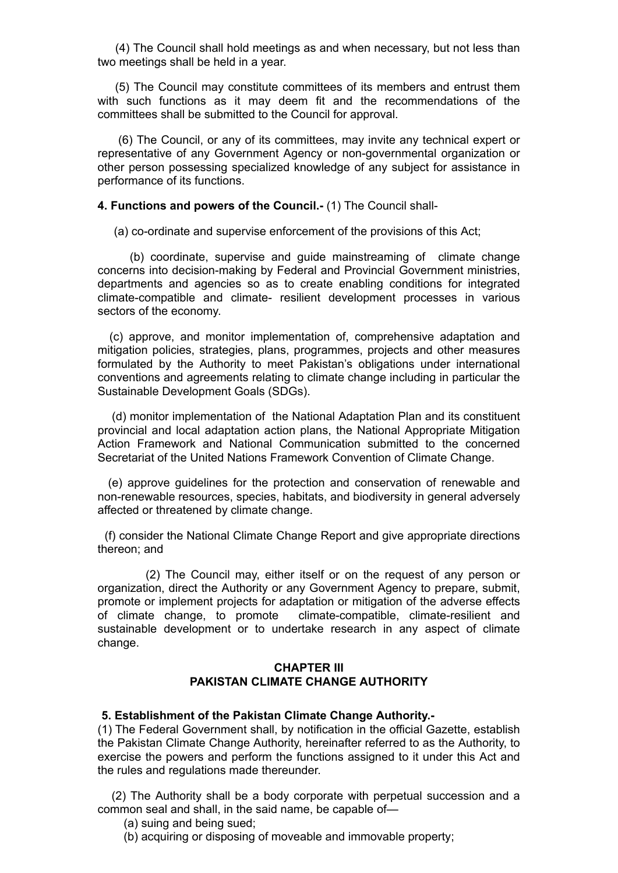(4) The Council shall hold meetings as and when necessary, but not less than two meetings shall be held in a year.

 (5) The Council may constitute committees of its members and entrust them with such functions as it may deem fit and the recommendations of the committees shall be submitted to the Council for approval.

 (6) The Council, or any of its committees, may invite any technical expert or representative of any Government Agency or non-governmental organization or other person possessing specialized knowledge of any subject for assistance in performance of its functions.

**4. Functions and powers of the Council.-** (1) The Council shall-

(a) co-ordinate and supervise enforcement of the provisions of this Act;

 (b) coordinate, supervise and guide mainstreaming of climate change concerns into decision-making by Federal and Provincial Government ministries, departments and agencies so as to create enabling conditions for integrated climate-compatible and climate- resilient development processes in various sectors of the economy.

 (c) approve, and monitor implementation of, comprehensive adaptation and mitigation policies, strategies, plans, programmes, projects and other measures formulated by the Authority to meet Pakistan's obligations under international conventions and agreements relating to climate change including in particular the Sustainable Development Goals (SDGs).

 (d) monitor implementation of the National Adaptation Plan and its constituent provincial and local adaptation action plans, the National Appropriate Mitigation Action Framework and National Communication submitted to the concerned Secretariat of the United Nations Framework Convention of Climate Change.

 (e) approve guidelines for the protection and conservation of renewable and non-renewable resources, species, habitats, and biodiversity in general adversely affected or threatened by climate change.

(f) consider the National Climate Change Report and give appropriate directions thereon; and

 (2) The Council may, either itself or on the request of any person or organization, direct the Authority or any Government Agency to prepare, submit, promote or implement projects for adaptation or mitigation of the adverse effects of climate change, to promote climate-compatible, climate-resilient and sustainable development or to undertake research in any aspect of climate change.

## **CHAPTER III PAKISTAN CLIMATE CHANGE AUTHORITY**

#### **5. Establishment of the Pakistan Climate Change Authority.-**

(1) The Federal Government shall, by notification in the official Gazette, establish the Pakistan Climate Change Authority, hereinafter referred to as the Authority, to exercise the powers and perform the functions assigned to it under this Act and the rules and regulations made thereunder.

 (2) The Authority shall be a body corporate with perpetual succession and a common seal and shall, in the said name, be capable of—

- (a) suing and being sued;
- (b) acquiring or disposing of moveable and immovable property;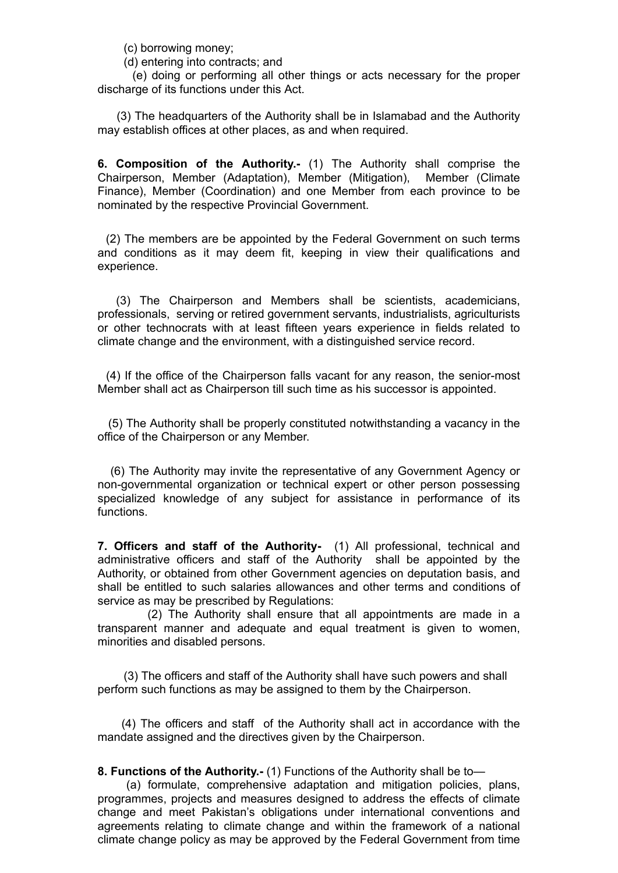(c) borrowing money;

(d) entering into contracts; and

 (e) doing or performing all other things or acts necessary for the proper discharge of its functions under this Act.

 (3) The headquarters of the Authority shall be in Islamabad and the Authority may establish offices at other places, as and when required.

**6. Composition of the Authority.-** (1) The Authority shall comprise the Chairperson, Member (Adaptation), Member (Mitigation), Member (Climate Finance), Member (Coordination) and one Member from each province to be nominated by the respective Provincial Government.

 (2) The members are be appointed by the Federal Government on such terms and conditions as it may deem fit, keeping in view their qualifications and experience.

 (3) The Chairperson and Members shall be scientists, academicians, professionals, serving or retired government servants, industrialists, agriculturists or other technocrats with at least fifteen years experience in fields related to climate change and the environment, with a distinguished service record.

 (4) If the office of the Chairperson falls vacant for any reason, the senior-most Member shall act as Chairperson till such time as his successor is appointed.

 (5) The Authority shall be properly constituted notwithstanding a vacancy in the office of the Chairperson or any Member.

 (6) The Authority may invite the representative of any Government Agency or non-governmental organization or technical expert or other person possessing specialized knowledge of any subject for assistance in performance of its functions.

**7. Officers and staff of the Authority-** (1) All professional, technical and administrative officers and staff of the Authority shall be appointed by the Authority, or obtained from other Government agencies on deputation basis, and shall be entitled to such salaries allowances and other terms and conditions of service as may be prescribed by Regulations:

 (2) The Authority shall ensure that all appointments are made in a transparent manner and adequate and equal treatment is given to women, minorities and disabled persons.

 (3) The officers and staff of the Authority shall have such powers and shall perform such functions as may be assigned to them by the Chairperson.

 (4) The officers and staff of the Authority shall act in accordance with the mandate assigned and the directives given by the Chairperson.

**8. Functions of the Authority.-** (1) Functions of the Authority shall be to—

 (a) formulate, comprehensive adaptation and mitigation policies, plans, programmes, projects and measures designed to address the effects of climate change and meet Pakistan's obligations under international conventions and agreements relating to climate change and within the framework of a national climate change policy as may be approved by the Federal Government from time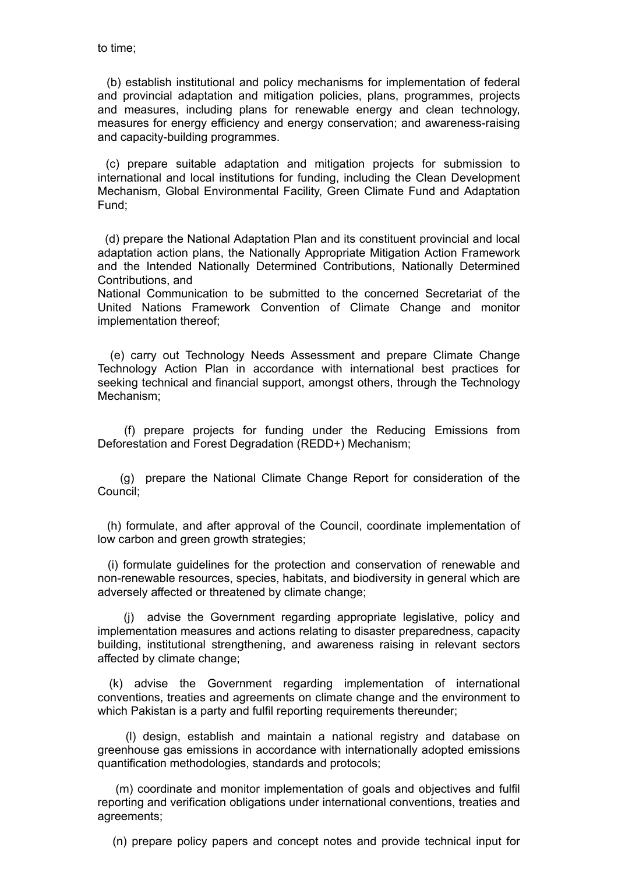(b) establish institutional and policy mechanisms for implementation of federal and provincial adaptation and mitigation policies, plans, programmes, projects and measures, including plans for renewable energy and clean technology, measures for energy efficiency and energy conservation; and awareness-raising and capacity-building programmes.

 (c) prepare suitable adaptation and mitigation projects for submission to international and local institutions for funding, including the Clean Development Mechanism, Global Environmental Facility, Green Climate Fund and Adaptation Fund;

 (d) prepare the National Adaptation Plan and its constituent provincial and local adaptation action plans, the Nationally Appropriate Mitigation Action Framework and the Intended Nationally Determined Contributions, Nationally Determined Contributions, and

National Communication to be submitted to the concerned Secretariat of the United Nations Framework Convention of Climate Change and monitor implementation thereof;

 (e) carry out Technology Needs Assessment and prepare Climate Change Technology Action Plan in accordance with international best practices for seeking technical and financial support, amongst others, through the Technology Mechanism;

 (f) prepare projects for funding under the Reducing Emissions from Deforestation and Forest Degradation (REDD+) Mechanism;

 (g) prepare the National Climate Change Report for consideration of the Council;

 (h) formulate, and after approval of the Council, coordinate implementation of low carbon and green growth strategies;

 (i) formulate guidelines for the protection and conservation of renewable and non-renewable resources, species, habitats, and biodiversity in general which are adversely affected or threatened by climate change;

 (j) advise the Government regarding appropriate legislative, policy and implementation measures and actions relating to disaster preparedness, capacity building, institutional strengthening, and awareness raising in relevant sectors affected by climate change;

 (k) advise the Government regarding implementation of international conventions, treaties and agreements on climate change and the environment to which Pakistan is a party and fulfil reporting requirements thereunder;

 (l) design, establish and maintain a national registry and database on greenhouse gas emissions in accordance with internationally adopted emissions quantification methodologies, standards and protocols;

 (m) coordinate and monitor implementation of goals and objectives and fulfil reporting and verification obligations under international conventions, treaties and agreements;

(n) prepare policy papers and concept notes and provide technical input for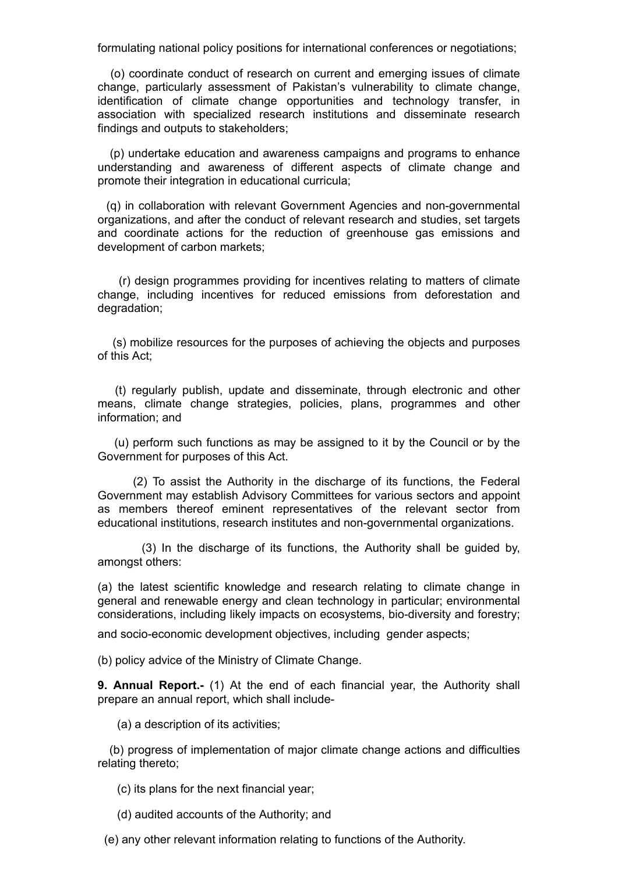formulating national policy positions for international conferences or negotiations;

 (o) coordinate conduct of research on current and emerging issues of climate change, particularly assessment of Pakistan's vulnerability to climate change, identification of climate change opportunities and technology transfer, in association with specialized research institutions and disseminate research findings and outputs to stakeholders;

 (p) undertake education and awareness campaigns and programs to enhance understanding and awareness of different aspects of climate change and promote their integration in educational curricula;

 (q) in collaboration with relevant Government Agencies and non-governmental organizations, and after the conduct of relevant research and studies, set targets and coordinate actions for the reduction of greenhouse gas emissions and development of carbon markets;

 (r) design programmes providing for incentives relating to matters of climate change, including incentives for reduced emissions from deforestation and degradation;

 (s) mobilize resources for the purposes of achieving the objects and purposes of this Act;

 (t) regularly publish, update and disseminate, through electronic and other means, climate change strategies, policies, plans, programmes and other information; and

 (u) perform such functions as may be assigned to it by the Council or by the Government for purposes of this Act.

(2) To assist the Authority in the discharge of its functions, the Federal Government may establish Advisory Committees for various sectors and appoint as members thereof eminent representatives of the relevant sector from educational institutions, research institutes and non-governmental organizations.

 (3) In the discharge of its functions, the Authority shall be guided by, amongst others:

(a) the latest scientific knowledge and research relating to climate change in general and renewable energy and clean technology in particular; environmental considerations, including likely impacts on ecosystems, bio-diversity and forestry;

and socio-economic development objectives, including gender aspects;

(b) policy advice of the Ministry of Climate Change.

**9. Annual Report.-** (1) At the end of each financial year, the Authority shall prepare an annual report, which shall include-

(a) a description of its activities;

 (b) progress of implementation of major climate change actions and difficulties relating thereto;

(c) its plans for the next financial year;

(d) audited accounts of the Authority; and

(e) any other relevant information relating to functions of the Authority.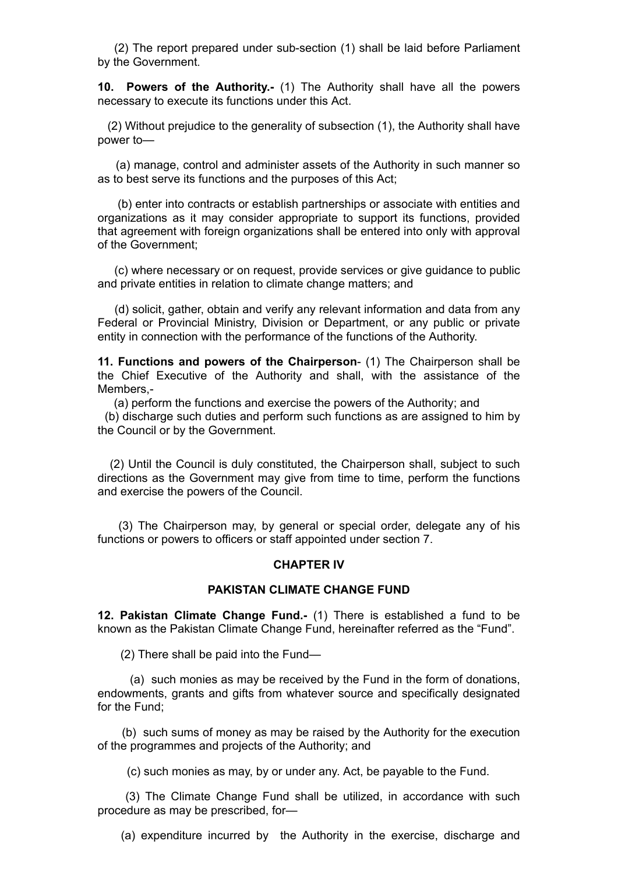(2) The report prepared under sub-section (1) shall be laid before Parliament by the Government.

**10. Powers of the Authority.-** (1) The Authority shall have all the powers necessary to execute its functions under this Act.

 (2) Without prejudice to the generality of subsection (1), the Authority shall have power to—

 (a) manage, control and administer assets of the Authority in such manner so as to best serve its functions and the purposes of this Act;

 (b) enter into contracts or establish partnerships or associate with entities and organizations as it may consider appropriate to support its functions, provided that agreement with foreign organizations shall be entered into only with approval of the Government;

 (c) where necessary or on request, provide services or give guidance to public and private entities in relation to climate change matters; and

 (d) solicit, gather, obtain and verify any relevant information and data from any Federal or Provincial Ministry, Division or Department, or any public or private entity in connection with the performance of the functions of the Authority.

**11. Functions and powers of the Chairperson**- (1) The Chairperson shall be the Chief Executive of the Authority and shall, with the assistance of the Members,-

 (a) perform the functions and exercise the powers of the Authority; and (b) discharge such duties and perform such functions as are assigned to him by the Council or by the Government.

 (2) Until the Council is duly constituted, the Chairperson shall, subject to such directions as the Government may give from time to time, perform the functions and exercise the powers of the Council.

 (3) The Chairperson may, by general or special order, delegate any of his functions or powers to officers or staff appointed under section 7.

#### **CHAPTER IV**

## **PAKISTAN CLIMATE CHANGE FUND**

**12. Pakistan Climate Change Fund.-** (1) There is established a fund to be known as the Pakistan Climate Change Fund, hereinafter referred as the "Fund".

(2) There shall be paid into the Fund—

 (a) such monies as may be received by the Fund in the form of donations, endowments, grants and gifts from whatever source and specifically designated for the Fund;

 (b) such sums of money as may be raised by the Authority for the execution of the programmes and projects of the Authority; and

(c) such monies as may, by or under any. Act, be payable to the Fund.

 (3) The Climate Change Fund shall be utilized, in accordance with such procedure as may be prescribed, for—

(a) expenditure incurred by the Authority in the exercise, discharge and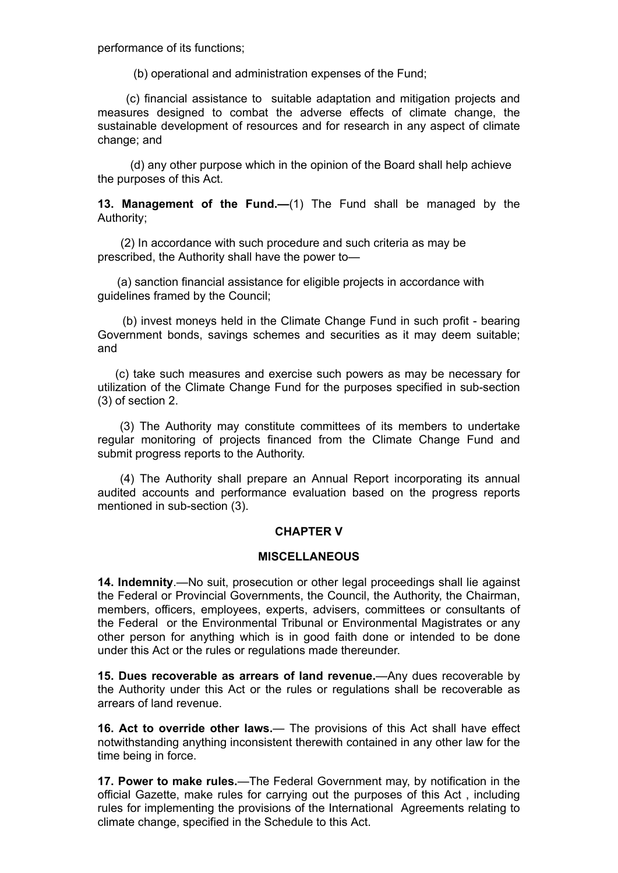performance of its functions;

(b) operational and administration expenses of the Fund;

 (c) financial assistance to suitable adaptation and mitigation projects and measures designed to combat the adverse effects of climate change, the sustainable development of resources and for research in any aspect of climate change; and

 (d) any other purpose which in the opinion of the Board shall help achieve the purposes of this Act.

**13. Management of the Fund.—**(1) The Fund shall be managed by the Authority;

 (2) In accordance with such procedure and such criteria as may be prescribed, the Authority shall have the power to—

 (a) sanction financial assistance for eligible projects in accordance with guidelines framed by the Council;

 (b) invest moneys held in the Climate Change Fund in such profit - bearing Government bonds, savings schemes and securities as it may deem suitable; and

 (c) take such measures and exercise such powers as may be necessary for utilization of the Climate Change Fund for the purposes specified in sub-section (3) of section 2.

 (3) The Authority may constitute committees of its members to undertake regular monitoring of projects financed from the Climate Change Fund and submit progress reports to the Authority.

 (4) The Authority shall prepare an Annual Report incorporating its annual audited accounts and performance evaluation based on the progress reports mentioned in sub-section (3).

#### **CHAPTER V**

#### **MISCELLANEOUS**

**14. Indemnity**.—No suit, prosecution or other legal proceedings shall lie against the Federal or Provincial Governments, the Council, the Authority, the Chairman, members, officers, employees, experts, advisers, committees or consultants of the Federal or the Environmental Tribunal or Environmental Magistrates or any other person for anything which is in good faith done or intended to be done under this Act or the rules or regulations made thereunder.

**15. Dues recoverable as arrears of land revenue.**—Any dues recoverable by the Authority under this Act or the rules or regulations shall be recoverable as arrears of land revenue.

**16. Act to override other laws.**— The provisions of this Act shall have effect notwithstanding anything inconsistent therewith contained in any other law for the time being in force.

**17. Power to make rules.**—The Federal Government may, by notification in the official Gazette, make rules for carrying out the purposes of this Act , including rules for implementing the provisions of the International Agreements relating to climate change, specified in the Schedule to this Act.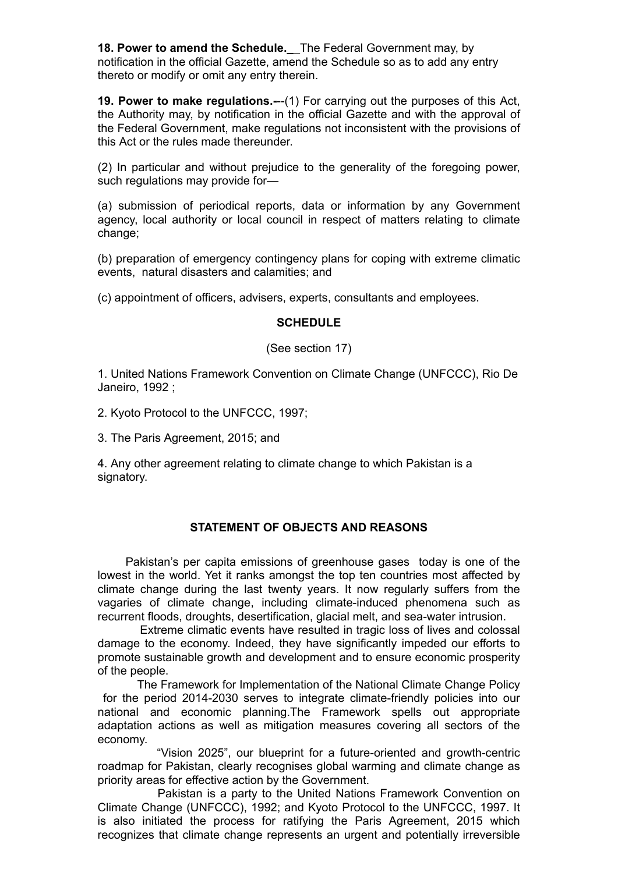**18. Power to amend the Schedule.\_**\_The Federal Government may, by notification in the official Gazette, amend the Schedule so as to add any entry thereto or modify or omit any entry therein.

**19. Power to make regulations.-**--(1) For carrying out the purposes of this Act, the Authority may, by notification in the official Gazette and with the approval of the Federal Government, make regulations not inconsistent with the provisions of this Act or the rules made thereunder.

(2) In particular and without prejudice to the generality of the foregoing power, such regulations may provide for—

(a) submission of periodical reports, data or information by any Government agency, local authority or local council in respect of matters relating to climate change:

(b) preparation of emergency contingency plans for coping with extreme climatic events, natural disasters and calamities; and

(c) appointment of officers, advisers, experts, consultants and employees.

## **SCHEDULE**

(See section 17)

1. United Nations Framework Convention on Climate Change (UNFCCC), Rio De Janeiro, 1992 ;

2. Kyoto Protocol to the UNFCCC, 1997;

3. The Paris Agreement, 2015; and

4. Any other agreement relating to climate change to which Pakistan is a signatory.

# **STATEMENT OF OBJECTS AND REASONS**

Pakistan's per capita emissions of greenhouse gases today is one of the lowest in the world. Yet it ranks amongst the top ten countries most affected by climate change during the last twenty years. It now regularly suffers from the vagaries of climate change, including climate-induced phenomena such as recurrent floods, droughts, desertification, glacial melt, and sea-water intrusion.

 Extreme climatic events have resulted in tragic loss of lives and colossal damage to the economy. Indeed, they have significantly impeded our efforts to promote sustainable growth and development and to ensure economic prosperity of the people.

 The Framework for Implementation of the National Climate Change Policy for the period 2014-2030 serves to integrate climate-friendly policies into our national and economic planning.The Framework spells out appropriate adaptation actions as well as mitigation measures covering all sectors of the economy.

 "Vision 2025", our blueprint for a future-oriented and growth-centric roadmap for Pakistan, clearly recognises global warming and climate change as priority areas for effective action by the Government.

 Pakistan is a party to the United Nations Framework Convention on Climate Change (UNFCCC), 1992; and Kyoto Protocol to the UNFCCC, 1997. It is also initiated the process for ratifying the Paris Agreement, 2015 which recognizes that climate change represents an urgent and potentially irreversible